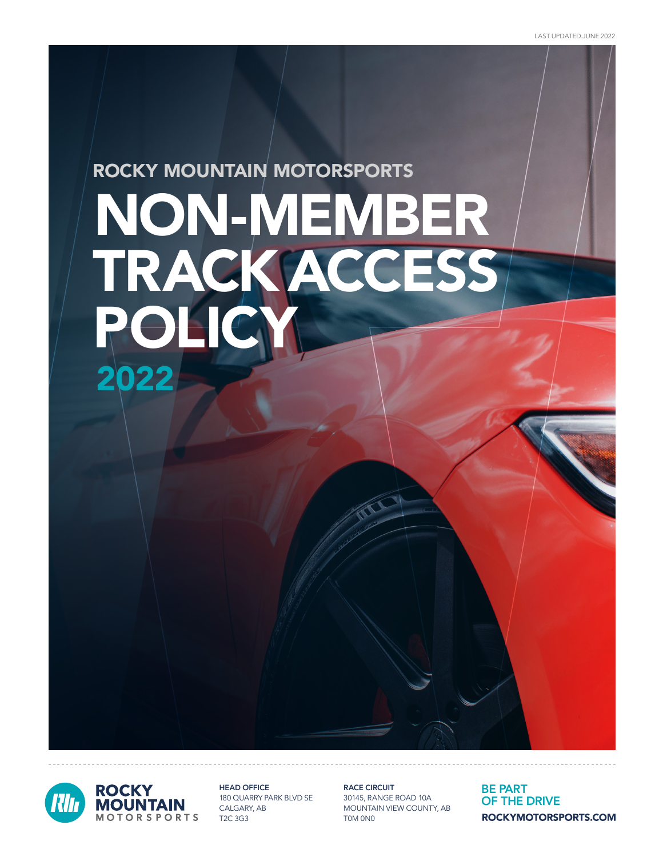# NON-MEMBER TRACK ACCESS ROCKY MOUNTAIN MOTORSPORTS POLI 2022



HEAD OFFICE 180 QUARRY PARK BLVD SE CALGARY, AB T2C 3G3

RACE CIRCUIT 30145, RANGE ROAD 10A MOUNTAIN VIEW COUNTY, AB T0M 0N0

BE PART OF THE DRIVE ROCKYMOTORSPORTS.COM